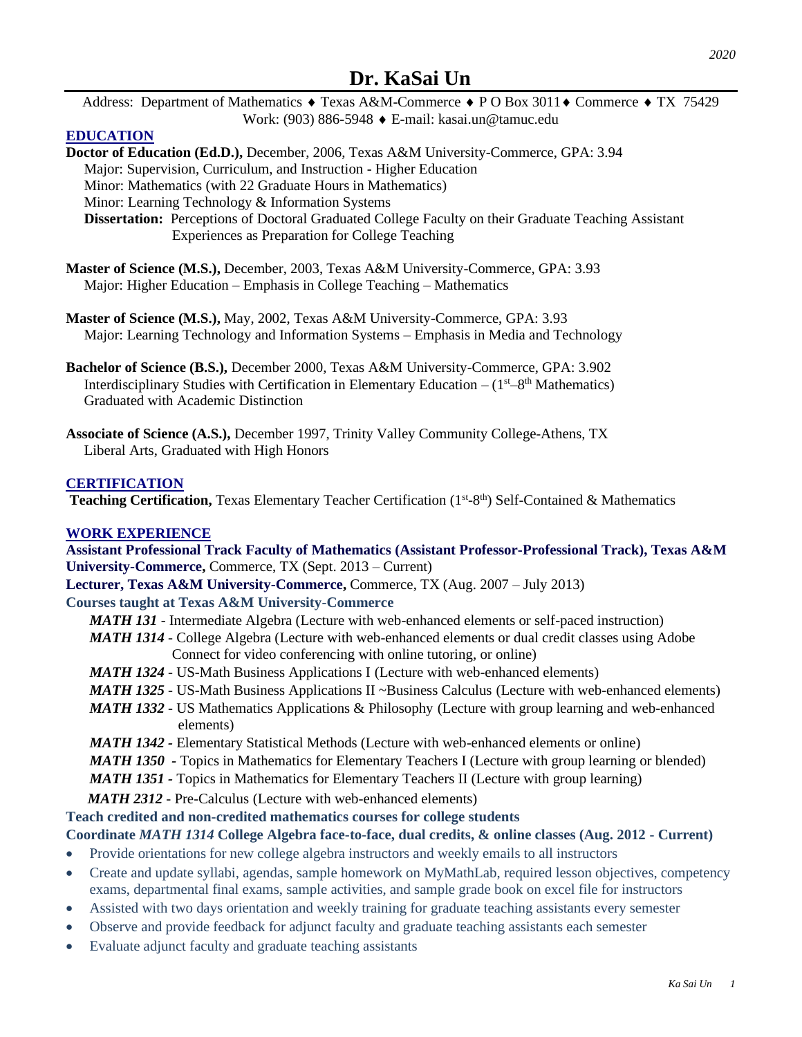*2020*

Address: Department of Mathematics  $\triangle$  Texas A&M-Commerce  $\triangle$  PO Box 3011 $\triangle$  Commerce  $\triangle$  TX 75429 Work: (903) 886-5948 E-mail: kasai.un@tamuc.edu

# **EDUCATION**

**Doctor of Education (Ed.D.),** December, 2006, Texas A&M University-Commerce, GPA: 3.94 Major: Supervision, Curriculum, and Instruction - Higher Education Minor: Mathematics (with 22 Graduate Hours in Mathematics) Minor: Learning Technology & Information Systems  **Dissertation:** Perceptions of Doctoral Graduated College Faculty on their Graduate Teaching Assistant Experiences as Preparation for College Teaching

- **Master of Science (M.S.),** December, 2003, Texas A&M University-Commerce, GPA: 3.93 Major: Higher Education – Emphasis in College Teaching – Mathematics
- **Master of Science (M.S.),** May, 2002, Texas A&M University-Commerce, GPA: 3.93 Major: Learning Technology and Information Systems – Emphasis in Media and Technology
- **Bachelor of Science (B.S.),** December 2000, Texas A&M University-Commerce, GPA: 3.902 Interdisciplinary Studies with Certification in Elementary Education  $-(1<sup>st</sup>-8<sup>th</sup> Mathematics)$ Graduated with Academic Distinction
- **Associate of Science (A.S.),** December 1997, Trinity Valley Community College-Athens, TX Liberal Arts, Graduated with High Honors

#### **CERTIFICATION**

Teaching Certification, Texas Elementary Teacher Certification (1st-8<sup>th</sup>) Self-Contained & Mathematics

#### **WORK EXPERIENCE**

**Assistant Professional Track Faculty of Mathematics (Assistant Professor-Professional Track), Texas A&M University-Commerce,** Commerce, TX (Sept. 2013 – Current)

- **Lecturer, Texas A&M University-Commerce,** Commerce, TX (Aug. 2007 July 2013) **Courses taught at Texas A&M University-Commerce**
	- *MATH 131* Intermediate Algebra (Lecture with web-enhanced elements or self-paced instruction)
	- *MATH 1314* College Algebra (Lecture with web-enhanced elements or dual credit classes using Adobe Connect for video conferencing with online tutoring, or online)
	- *MATH 1324* US-Math Business Applications I (Lecture with web-enhanced elements)
	- *MATH 1325* US-Math Business Applications II ~Business Calculus (Lecture with web-enhanced elements)
	- *MATH 1332 -* US Mathematics Applications & Philosophy (Lecture with group learning and web-enhanced elements)
	- *MATH 1342 -* Elementary Statistical Methods (Lecture with web-enhanced elements or online)
	- *MATH 1350* Topics in Mathematics for Elementary Teachers I (Lecture with group learning or blended)
	- *MATH 1351 -* Topics in Mathematics for Elementary Teachers II (Lecture with group learning)
	- *MATH 2312* Pre-Calculus (Lecture with web-enhanced elements)

# **Teach credited and non-credited mathematics courses for college students**

# **Coordinate** *MATH 1314* **College Algebra face-to-face, dual credits, & online classes (Aug. 2012 - Current)**

- Provide orientations for new college algebra instructors and weekly emails to all instructors
- Create and update syllabi, agendas, sample homework on MyMathLab, required lesson objectives, competency exams, departmental final exams, sample activities, and sample grade book on excel file for instructors
- Assisted with two days orientation and weekly training for graduate teaching assistants every semester
- Observe and provide feedback for adjunct faculty and graduate teaching assistants each semester
- Evaluate adjunct faculty and graduate teaching assistants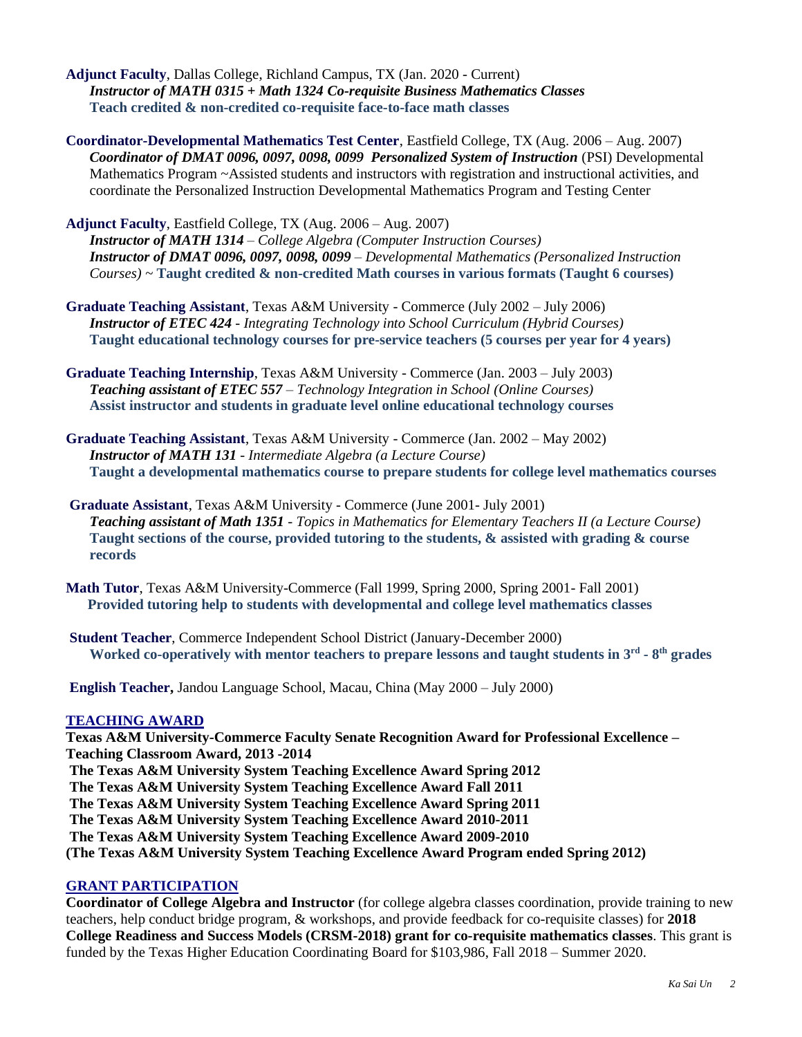**Adjunct Faculty**, Dallas College, Richland Campus, TX (Jan. 2020 - Current) *Instructor of MATH 0315 + Math 1324 Co-requisite Business Mathematics Classes* **Teach credited & non-credited co-requisite face-to-face math classes**

**Coordinator-Developmental Mathematics Test Center**, Eastfield College, TX (Aug. 2006 – Aug. 2007) *Coordinator of DMAT 0096, 0097, 0098, 0099 Personalized System of Instruction* (PSI) Developmental Mathematics Program ~Assisted students and instructors with registration and instructional activities, and coordinate the Personalized Instruction Developmental Mathematics Program and Testing Center

**Adjunct Faculty**, Eastfield College, TX (Aug. 2006 – Aug. 2007) *Instructor of MATH 1314 – College Algebra (Computer Instruction Courses) Instructor of DMAT 0096, 0097, 0098, 0099 – Developmental Mathematics (Personalized Instruction Courses)* ~ **Taught credited & non-credited Math courses in various formats (Taught 6 courses)**

- **Graduate Teaching Assistant**, Texas A&M University Commerce (July 2002 July 2006) *Instructor of ETEC 424 - Integrating Technology into School Curriculum (Hybrid Courses)* **Taught educational technology courses for pre-service teachers (5 courses per year for 4 years)**
- **Graduate Teaching Internship**, Texas A&M University Commerce (Jan. 2003 July 2003) *Teaching assistant of ETEC 557* – *Technology Integration in School (Online Courses)* **Assist instructor and students in graduate level online educational technology courses**
- **Graduate Teaching Assistant**, Texas A&M University Commerce (Jan. 2002 May 2002) *Instructor of MATH 131 - Intermediate Algebra (a Lecture Course)* **Taught a developmental mathematics course to prepare students for college level mathematics courses**
- **Graduate Assistant**, Texas A&M University Commerce (June 2001- July 2001) *Teaching assistant of Math 1351 - Topics in Mathematics for Elementary Teachers II (a Lecture Course)* **Taught sections of the course, provided tutoring to the students, & assisted with grading & course records**

**Math Tutor**, Texas A&M University-Commerce (Fall 1999, Spring 2000, Spring 2001- Fall 2001)  **Provided tutoring help to students with developmental and college level mathematics classes**

**Student Teacher**, Commerce Independent School District (January-December 2000) **Worked co-operatively with mentor teachers to prepare lessons and taught students in 3rd - 8 th grades**

**English Teacher,** Jandou Language School, Macau, China (May 2000 – July 2000)

# **TEACHING AWARD**

**Texas A&M University-Commerce Faculty Senate Recognition Award for Professional Excellence – Teaching Classroom Award, 2013 -2014 The Texas A&M University System Teaching Excellence Award Spring 2012 The Texas A&M University [System Teaching Excellence](https://outlook.tamu-commerce.edu/exchange/KaSai.Un@tamuc.edu/Inbox/%5bCOSEAfaculty%5d%20%5bFaculty%20%26%20Staff%5d%20A%26M%20System%20Student%20RecognitionAward%20for%20Teaching%20Excellence.EML?Cmd=open) Award Fall 2011 The Texas A&M University System Teaching Excellence Award Spring 2011 The Texas A&M University [System Teaching Excellence](https://outlook.tamu-commerce.edu/exchange/KaSai.Un@tamuc.edu/Inbox/%5bCOSEAfaculty%5d%20%5bFaculty%20%26%20Staff%5d%20A%26M%20System%20Student%20RecognitionAward%20for%20Teaching%20Excellence.EML?Cmd=open) Award 2010-2011 The Texas A&M University System Teaching Excellence Award 2009-2010 (The Texas A&M University System Teaching Excellence Award Program ended Spring 2012)**

# **GRANT PARTICIPATION**

**Coordinator of College Algebra and Instructor** (for college algebra classes coordination, provide training to new teachers, help conduct bridge program, & workshops, and provide feedback for co-requisite classes) for **2018 College Readiness and Success Models (CRSM-2018) grant for co-requisite mathematics classes**. This grant is funded by the Texas Higher Education Coordinating Board for \$103,986, Fall 2018 – Summer 2020.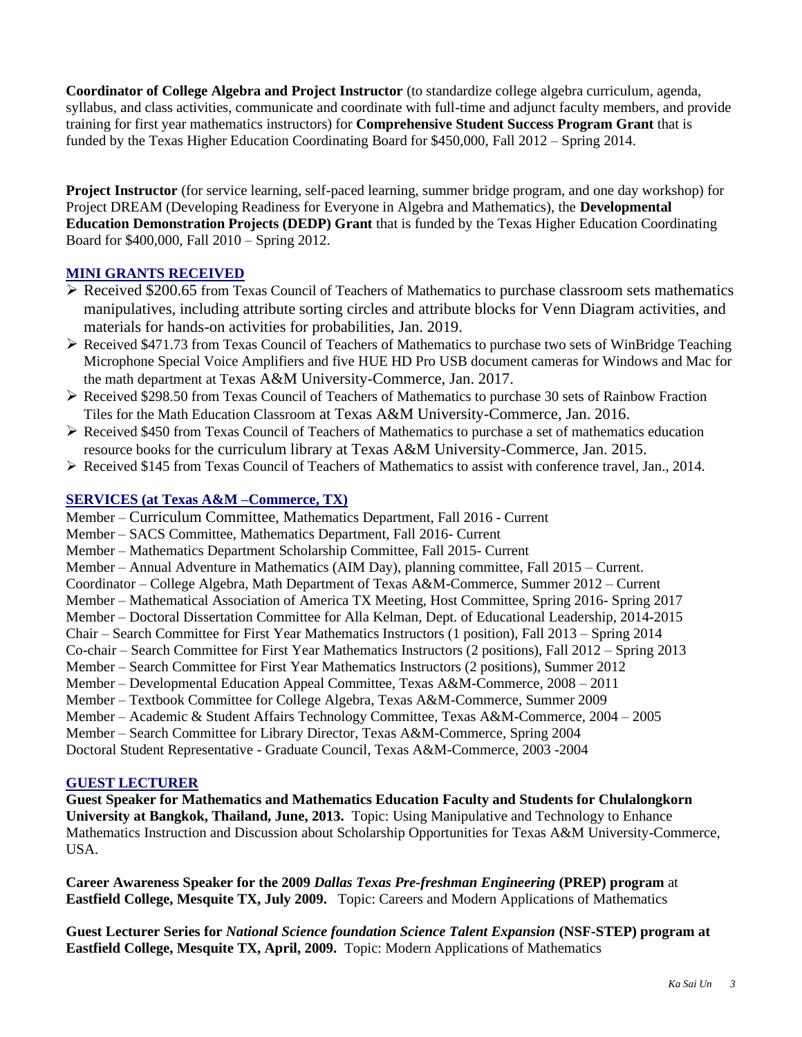**Coordinator of College Algebra and Project Instructor** (to standardize college algebra curriculum, agenda, syllabus, and class activities, communicate and coordinate with full-time and adjunct faculty members, and provide training for first year mathematics instructors) for **Comprehensive Student Success Program Grant** that is funded by the Texas Higher Education Coordinating Board for \$450,000, Fall 2012 – Spring 2014.

**Project Instructor** (for service learning, self-paced learning, summer bridge program, and one day workshop) for Project DREAM (Developing Readiness for Everyone in Algebra and Mathematics), the **Developmental Education Demonstration Projects (DEDP) Grant** that is funded by the Texas Higher Education Coordinating Board for \$400,000, Fall 2010 – Spring 2012.

# **MINI GRANTS RECEIVED**

- ➢ Received \$200.65 from Texas Council of Teachers of Mathematics to purchase classroom sets mathematics manipulatives, including attribute sorting circles and attribute blocks for Venn Diagram activities, and materials for hands-on activities for probabilities, Jan. 2019.
- ➢ Received \$471.73 from Texas Council of Teachers of Mathematics to purchase two sets of WinBridge Teaching Microphone Special Voice Amplifiers and five HUE HD Pro USB document cameras for Windows and Mac for the math department at Texas A&M University-Commerce, Jan. 2017.
- ➢ Received \$298.50 from Texas Council of Teachers of Mathematics to purchase 30 sets of Rainbow Fraction Tiles for the Math Education Classroom at Texas A&M University-Commerce, Jan. 2016.
- ➢ Received \$450 from Texas Council of Teachers of Mathematics to purchase a set of mathematics education resource books for the curriculum library at Texas A&M University-Commerce, Jan. 2015.
- ➢ Received \$145 from Texas Council of Teachers of Mathematics to assist with conference travel, Jan., 2014.

# **SERVICES (at Texas A&M –Commerce, TX)**

Member – Curriculum Committee, Mathematics Department, Fall 2016 - Current Member – SACS Committee, Mathematics Department, Fall 2016- Current Member – Mathematics Department Scholarship Committee, Fall 2015- Current Member – Annual Adventure in Mathematics (AIM Day), planning committee, Fall 2015 – Current. Coordinator – College Algebra, Math Department of Texas A&M-Commerce, Summer 2012 – Current Member – Mathematical Association of America TX Meeting, Host Committee, Spring 2016- Spring 2017 Member – Doctoral Dissertation Committee for Alla Kelman, Dept. of Educational Leadership, 2014-2015 Chair – Search Committee for First Year Mathematics Instructors (1 position), Fall 2013 – Spring 2014 Co-chair – Search Committee for First Year Mathematics Instructors (2 positions), Fall 2012 – Spring 2013 Member – Search Committee for First Year Mathematics Instructors (2 positions), Summer 2012 Member – Developmental Education Appeal Committee, Texas A&M-Commerce, 2008 – 2011 Member – Textbook Committee for College Algebra, Texas A&M-Commerce, Summer 2009 Member – Academic & Student Affairs Technology Committee, Texas A&M-Commerce, 2004 – 2005 Member – Search Committee for Library Director, Texas A&M-Commerce, Spring 2004 Doctoral Student Representative - Graduate Council, Texas A&M-Commerce, 2003 -2004

# **GUEST LECTURER**

**Guest Speaker for Mathematics and Mathematics Education Faculty and Students for Chulalongkorn University at Bangkok, Thailand, June, 2013.** Topic: Using Manipulative and Technology to Enhance Mathematics Instruction and Discussion about Scholarship Opportunities for Texas A&M University-Commerce, USA.

**Career Awareness Speaker for the 2009** *Dallas Texas Pre-freshman Engineering* **(PREP) program** at **Eastfield College, Mesquite TX, July 2009.** Topic: Careers and Modern Applications of Mathematics

**Guest Lecturer Series for** *National Science foundation Science Talent Expansion* **(NSF-STEP) program at Eastfield College, Mesquite TX, April, 2009.** Topic: Modern Applications of Mathematics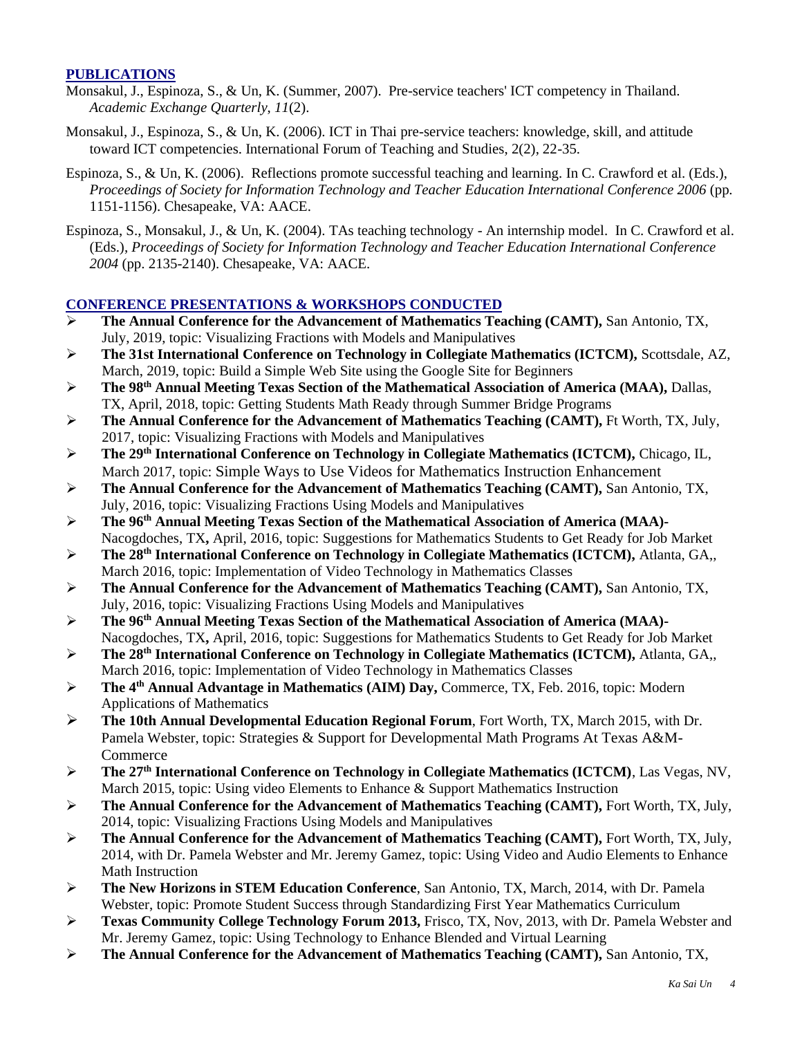# **PUBLICATIONS**

- Monsakul, J., Espinoza, S., & Un, K. (Summer, 2007). Pre-service teachers' ICT competency in Thailand. *Academic Exchange Quarterly*, *11*(2).
- Monsakul, J., Espinoza, S., & Un, K. (2006). ICT in Thai pre-service teachers: knowledge, skill, and attitude toward ICT competencies. International Forum of Teaching and Studies, 2(2), 22-35.
- Espinoza, S., & Un, K. (2006). Reflections promote successful teaching and learning. In C. Crawford et al. (Eds.), *Proceedings of Society for Information Technology and Teacher Education International Conference 2006* (pp. 1151-1156). Chesapeake, VA: AACE.
- Espinoza, S., Monsakul, J., & Un, K. (2004). TAs teaching technology An internship model. In C. Crawford et al. (Eds.), *Proceedings of Society for Information Technology and Teacher Education International Conference 2004* (pp. 2135-2140). Chesapeake, VA: AACE.

# **CONFERENCE PRESENTATIONS & WORKSHOPS CONDUCTED**

- ➢ **The Annual Conference for the Advancement of Mathematics Teaching (CAMT),** San Antonio, TX, July, 2019, topic: Visualizing Fractions with Models and Manipulatives
- ➢ **The 31st International Conference on Technology in Collegiate Mathematics (ICTCM),** Scottsdale, AZ, March, 2019, topic: Build a Simple Web Site using the Google Site for Beginners
- ➢ **The 98th Annual Meeting Texas Section of the Mathematical Association of America (MAA),** Dallas, TX, April, 2018, topic: Getting Students Math Ready through Summer Bridge Programs
- ➢ **The Annual Conference for the Advancement of Mathematics Teaching (CAMT),** Ft Worth, TX, July, 2017, topic: Visualizing Fractions with Models and Manipulatives
- ➢ **The 29th International Conference on Technology in Collegiate Mathematics (ICTCM),** Chicago, IL, March 2017, topic: Simple Ways to Use Videos for Mathematics Instruction Enhancement
- ➢ **The Annual Conference for the Advancement of Mathematics Teaching (CAMT),** San Antonio, TX, July, 2016, topic: Visualizing Fractions Using Models and Manipulatives
- ➢ **The 96th Annual Meeting Texas Section of the Mathematical Association of America (MAA)-** Nacogdoches, TX**,** April, 2016, topic: Suggestions for Mathematics Students to Get Ready for Job Market
- ➢ **The 28th International Conference on Technology in Collegiate Mathematics (ICTCM),** Atlanta, GA,, March 2016, topic: Implementation of Video Technology in Mathematics Classes
- ➢ **The Annual Conference for the Advancement of Mathematics Teaching (CAMT),** San Antonio, TX, July, 2016, topic: Visualizing Fractions Using Models and Manipulatives
- ➢ **The 96th Annual Meeting Texas Section of the Mathematical Association of America (MAA)-** Nacogdoches, TX**,** April, 2016, topic: Suggestions for Mathematics Students to Get Ready for Job Market
- ➢ **The 28th International Conference on Technology in Collegiate Mathematics (ICTCM),** Atlanta, GA,, March 2016, topic: Implementation of Video Technology in Mathematics Classes
- ➢ **The 4th Annual Advantage in Mathematics (AIM) Day,** Commerce, TX, Feb. 2016, topic: Modern Applications of Mathematics
- ➢ **The 10th Annual Developmental Education Regional Forum**, Fort Worth, TX, March 2015, with Dr. Pamela Webster, topic: Strategies & Support for Developmental Math Programs At Texas A&M-Commerce
- ➢ **The 27th International Conference on Technology in Collegiate Mathematics (ICTCM)**, Las Vegas, NV, March 2015, topic: Using video Elements to Enhance & Support Mathematics Instruction
- ➢ **The Annual Conference for the Advancement of Mathematics Teaching (CAMT),** Fort Worth, TX, July, 2014, topic: Visualizing Fractions Using Models and Manipulatives
- ➢ **The Annual Conference for the Advancement of Mathematics Teaching (CAMT),** Fort Worth, TX, July, 2014, with Dr. Pamela Webster and Mr. Jeremy Gamez, topic: Using Video and Audio Elements to Enhance Math Instruction
- ➢ **The New Horizons in STEM Education Conference**, San Antonio, TX, March, 2014, with Dr. Pamela Webster, topic: Promote Student Success through Standardizing First Year Mathematics Curriculum
- ➢ **Texas Community College Technology Forum 2013,** Frisco, TX, Nov, 2013, with Dr. Pamela Webster and Mr. Jeremy Gamez, topic: Using Technology to Enhance Blended and Virtual Learning
- ➢ **The Annual Conference for the Advancement of Mathematics Teaching (CAMT),** San Antonio, TX,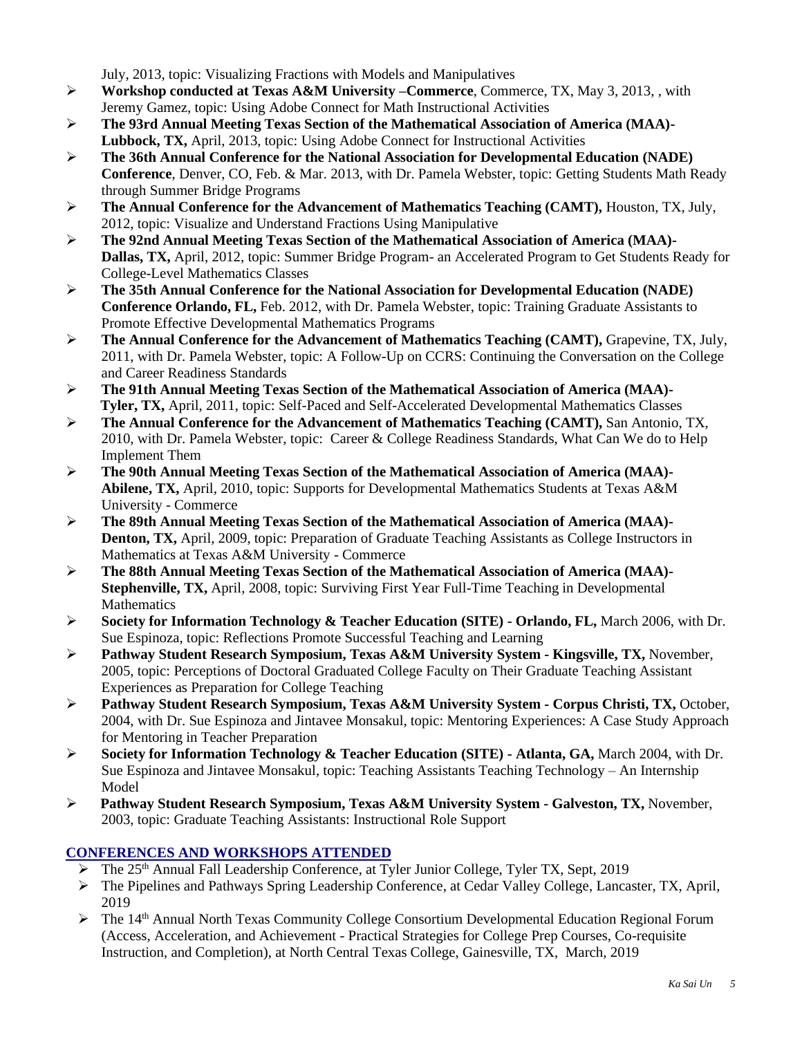July, 2013, topic: Visualizing Fractions with Models and Manipulatives

- ➢ **Workshop conducted at Texas A&M University –Commerce**, Commerce, TX, May 3, 2013, , with Jeremy Gamez, topic: Using Adobe Connect for Math Instructional Activities
- ➢ **The 93rd Annual Meeting Texas Section of the Mathematical Association of America (MAA)- Lubbock, TX,** April, 2013, topic: Using Adobe Connect for Instructional Activities
- ➢ **The 36th Annual Conference for the National Association for Developmental Education (NADE) Conference**, Denver, CO, Feb. & Mar. 2013, with Dr. Pamela Webster, topic: Getting Students Math Ready through Summer Bridge Programs
- ➢ **The Annual Conference for the Advancement of Mathematics Teaching (CAMT),** Houston, TX, July, 2012, topic: Visualize and Understand Fractions Using Manipulative
- ➢ **The 92nd Annual Meeting Texas Section of the Mathematical Association of America (MAA)- Dallas, TX,** April, 2012, topic: Summer Bridge Program- an Accelerated Program to Get Students Ready for College-Level Mathematics Classes
- ➢ **The 35th Annual Conference for the National Association for Developmental Education (NADE) Conference Orlando, FL,** Feb. 2012, with Dr. Pamela Webster, topic: Training Graduate Assistants to Promote Effective Developmental Mathematics Programs
- ➢ **The Annual Conference for the Advancement of Mathematics Teaching (CAMT),** Grapevine, TX, July, 2011, with Dr. Pamela Webster, topic: A Follow-Up on CCRS: Continuing the Conversation on the College and Career Readiness Standards
- ➢ **The 91th Annual Meeting Texas Section of the Mathematical Association of America (MAA)- Tyler, TX,** April, 2011, topic: Self-Paced and Self-Accelerated Developmental Mathematics Classes
- ➢ **The Annual Conference for the Advancement of Mathematics Teaching (CAMT),** San Antonio, TX, 2010, with Dr. Pamela Webster, topic: Career & College Readiness Standards, What Can We do to Help Implement Them
- ➢ **The 90th Annual Meeting Texas Section of the Mathematical Association of America (MAA)- Abilene, TX,** April, 2010, topic: Supports for Developmental Mathematics Students at Texas A&M University - Commerce
- ➢ **The 89th Annual Meeting Texas Section of the Mathematical Association of America (MAA)- Denton, TX, April, 2009, topic: Preparation of Graduate Teaching Assistants as College Instructors in** Mathematics at Texas A&M University - Commerce
- ➢ **The 88th Annual Meeting Texas Section of the Mathematical Association of America (MAA)- Stephenville, TX,** April, 2008, topic: Surviving First Year Full-Time Teaching in Developmental **Mathematics**
- ➢ **Society for Information Technology & Teacher Education (SITE) - Orlando, FL,** March 2006, with Dr. Sue Espinoza, topic: Reflections Promote Successful Teaching and Learning
- ➢ **Pathway Student Research Symposium, Texas A&M University System - Kingsville, TX,** November, 2005, topic: Perceptions of Doctoral Graduated College Faculty on Their Graduate Teaching Assistant Experiences as Preparation for College Teaching
- ➢ **Pathway Student Research Symposium, Texas A&M University System - Corpus Christi, TX,** October, 2004, with Dr. Sue Espinoza and Jintavee Monsakul, topic: Mentoring Experiences: A Case Study Approach for Mentoring in Teacher Preparation
- ➢ **Society for Information Technology & Teacher Education (SITE) - Atlanta, GA,** March 2004, with Dr. Sue Espinoza and Jintavee Monsakul, topic: Teaching Assistants Teaching Technology – An Internship Model
- ➢ **Pathway Student Research Symposium, Texas A&M University System - Galveston, TX,** November, 2003, topic: Graduate Teaching Assistants: Instructional Role Support

# **CONFERENCES AND WORKSHOPS ATTENDED**

- $\triangleright$  The 25<sup>th</sup> Annual Fall Leadership Conference, at Tyler Junior College, Tyler TX, Sept, 2019
- ➢ The Pipelines and Pathways Spring Leadership Conference, at Cedar Valley College, Lancaster, TX, April, 2019
- $\triangleright$  The 14<sup>th</sup> Annual North Texas Community College Consortium Developmental Education Regional Forum (Access, Acceleration, and Achievement - Practical Strategies for College Prep Courses, Co-requisite Instruction, and Completion), at North Central Texas College, Gainesville, TX, March, 2019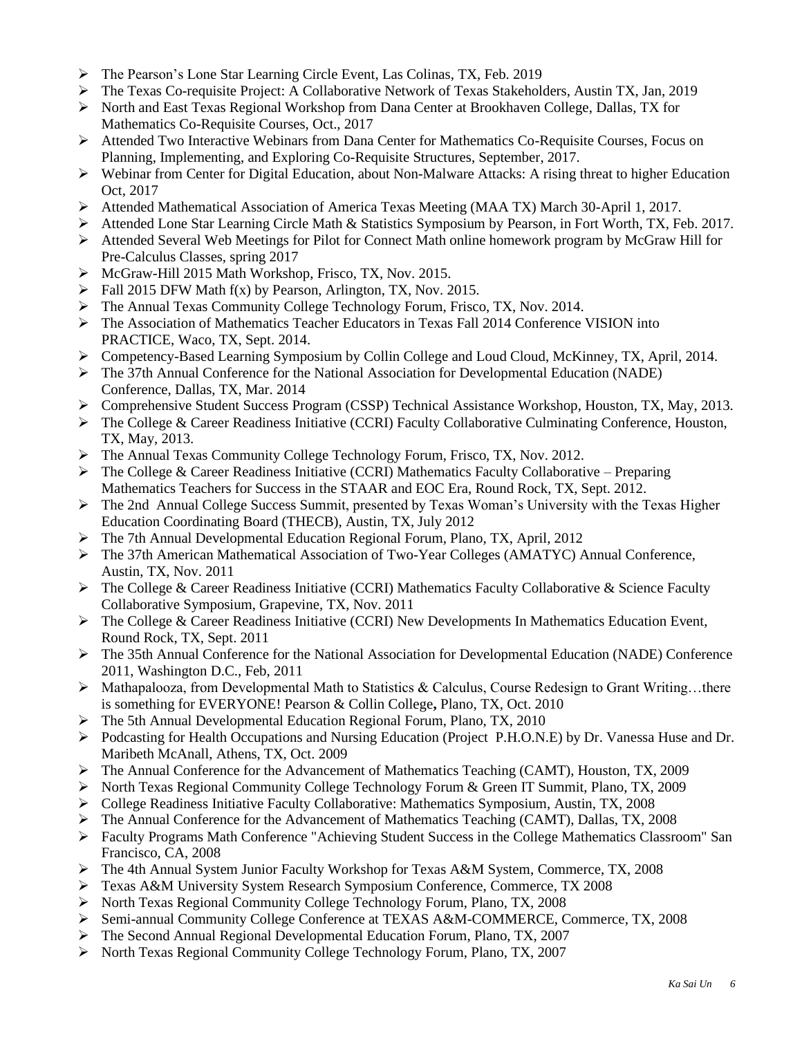- ➢ The Pearson's Lone Star Learning Circle Event, Las Colinas, TX, Feb. 2019
- ➢ The Texas Co-requisite Project: A Collaborative Network of Texas Stakeholders, Austin TX, Jan, 2019
- ➢ North and East Texas Regional Workshop from Dana Center at Brookhaven College, Dallas, TX for Mathematics Co-Requisite Courses, Oct., 2017
- ➢ Attended Two Interactive Webinars from Dana Center for Mathematics Co-Requisite Courses, Focus on Planning, Implementing, and Exploring Co-Requisite Structures, September, 2017.
- ➢ Webinar from Center for Digital Education, about Non-Malware Attacks: A rising threat to higher Education Oct, 2017
- ➢ Attended Mathematical Association of America Texas Meeting (MAA TX) March 30-April 1, 2017.
- ➢ Attended Lone Star Learning Circle Math & Statistics Symposium by Pearson, in Fort Worth, TX, Feb. 2017.
- ➢ Attended Several Web Meetings for Pilot for Connect Math online homework program by McGraw Hill for Pre-Calculus Classes, spring 2017
- ➢ McGraw-Hill 2015 Math Workshop, Frisco, TX, Nov. 2015.
- $\triangleright$  Fall 2015 DFW Math f(x) by Pearson, Arlington, TX, Nov. 2015.
- ➢ The Annual Texas Community College Technology Forum, Frisco, TX, Nov. 2014.
- ➢ The Association of Mathematics Teacher Educators in Texas Fall 2014 Conference VISION into PRACTICE, Waco, TX, Sept. 2014.
- ➢ Competency-Based Learning Symposium by Collin College and Loud Cloud, McKinney, TX, April, 2014.
- ➢ The 37th Annual Conference for the National Association for Developmental Education (NADE) Conference, Dallas, TX, Mar. 2014
- ➢ Comprehensive Student Success Program (CSSP) Technical Assistance Workshop, Houston, TX, May, 2013.
- ➢ The College & Career Readiness Initiative (CCRI) Faculty Collaborative Culminating Conference, Houston, TX, May, 2013.
- ➢ The Annual Texas Community College Technology Forum, Frisco, TX, Nov. 2012.
- $\triangleright$  The College & Career Readiness Initiative (CCRI) Mathematics Faculty Collaborative Preparing Mathematics Teachers for Success in the STAAR and EOC Era, Round Rock, TX, Sept. 2012.
- ➢ The 2nd Annual College Success Summit, presented by Texas Woman's University with the Texas Higher Education Coordinating Board (THECB), Austin, TX, July 2012
- $\triangleright$  The 7th Annual Developmental Education Regional Forum, Plano, TX, April, 2012
- ➢ The 37th American Mathematical Association of Two-Year Colleges (AMATYC) Annual Conference, Austin, TX, Nov. 2011
- $\triangleright$  The College & Career Readiness Initiative (CCRI) Mathematics Faculty Collaborative & Science Faculty Collaborative Symposium, Grapevine, TX, Nov. 2011
- ➢ The College & Career Readiness Initiative (CCRI) New Developments In Mathematics Education Event, Round Rock, TX, Sept. 2011
- ➢ The 35th Annual Conference for the National Association for Developmental Education (NADE) Conference 2011, Washington D.C., Feb, 2011
- $\triangleright$  Mathapalooza, from Developmental Math to Statistics & Calculus, Course Redesign to Grant Writing...there is something for EVERYONE! Pearson & Collin College**,** Plano, TX, Oct. 2010
- ➢ The 5th Annual Developmental Education Regional Forum, Plano, TX, 2010
- ➢ Podcasting for Health Occupations and Nursing Education (Project P.H.O.N.E) by Dr. Vanessa Huse and Dr. Maribeth McAnall, Athens, TX, Oct. 2009
- ➢ The Annual Conference for the Advancement of Mathematics Teaching (CAMT), Houston, TX, 2009
- ➢ North Texas Regional Community College Technology Forum & Green IT Summit, Plano, TX, 2009
- ➢ College Readiness Initiative Faculty Collaborative: Mathematics Symposium, Austin, TX, 2008
- ➢ The Annual Conference for the Advancement of Mathematics Teaching (CAMT), Dallas, TX, 2008
- ➢ Faculty Programs Math Conference "Achieving Student Success in the College Mathematics Classroom" San Francisco, CA, 2008
- ➢ The 4th Annual System Junior Faculty Workshop for Texas A&M System, Commerce, TX, 2008
- ➢ Texas A&M University System Research Symposium Conference, Commerce, TX 2008
- ➢ North Texas Regional Community College Technology Forum, Plano, TX, 2008
- ➢ Semi-annual Community College Conference at TEXAS A&M-COMMERCE, Commerce, TX, 2008
- ➢ The Second Annual Regional Developmental Education Forum, Plano, TX, 2007
- ➢ North Texas Regional Community College Technology Forum, Plano, TX, 2007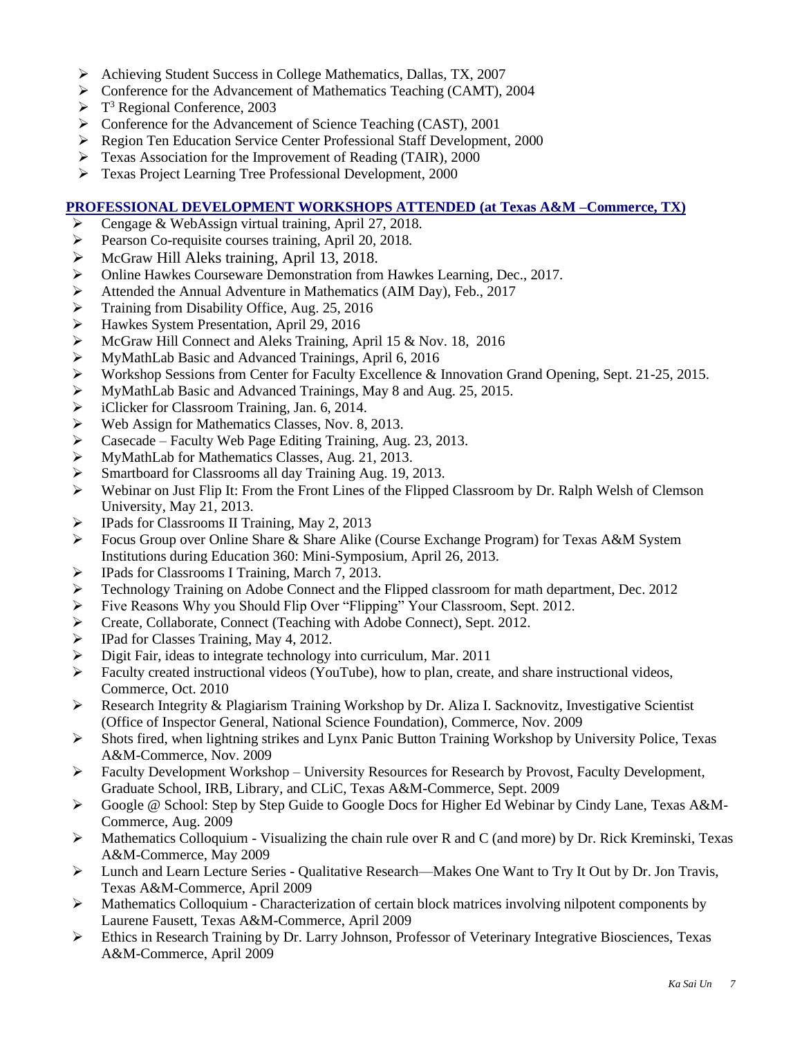- ➢ Achieving Student Success in College Mathematics, Dallas, TX, 2007
- ➢ Conference for the Advancement of Mathematics Teaching (CAMT), 2004
- ➢ T <sup>3</sup> Regional Conference, 2003
- ➢ Conference for the Advancement of Science Teaching (CAST), 2001
- ➢ Region Ten Education Service Center Professional Staff Development, 2000
- ➢ Texas Association for the Improvement of Reading (TAIR), 2000
- ➢ Texas Project Learning Tree Professional Development, 2000

# **PROFESSIONAL DEVELOPMENT WORKSHOPS ATTENDED (at Texas A&M –Commerce, TX)**

- ➢ Cengage & WebAssign virtual training, April 27, 2018.
- ➢ Pearson Co-requisite courses training, April 20, 2018.
- ➢ McGraw Hill Aleks training, April 13, 2018.
- ➢ Online Hawkes Courseware Demonstration from Hawkes Learning, Dec., 2017.
- ➢ Attended the Annual Adventure in Mathematics (AIM Day), Feb., 2017
- 
- → Training from Disability Office, Aug. 25, 2016<br>
→ Hawkes System Presentation, April 29, 2016<br>
→ McGraw Hill Connect and Aleks Training, Apri ➢ Hawkes System Presentation, April 29, 2016
- ➢ McGraw Hill Connect and Aleks Training, April 15 & Nov. 18, 2016
- 
- ➢ MyMathLab Basic and Advanced Trainings, April 6, 2016 ➢ Workshop Sessions from Center for Faculty Excellence & Innovation Grand Opening, Sept. 21-25, 2015.
- → MyMathLab Basic and Advanced Trainings, May 8 and Aug. 25, 2015.<br>
→ iClicker for Classroom Training, Jan. 6, 2014.<br>
→ Web Assign for Mathematics Classes, Nov. 8, 2013.
- iClicker for Classroom Training, Jan. 6, 2014.
- 
- $\triangleright$  Web Assign for Mathematics Classes, Nov. 8, 2013.<br>  $\triangleright$  Casecade Faculty Web Page Editing Training, Aug ➢ Casecade – Faculty Web Page Editing Training, Aug. 23, 2013.
- ➢ MyMathLab for Mathematics Classes, Aug. 21, 2013.
- ➢ Smartboard for Classrooms all day Training Aug. 19, 2013.
- ➢ Webinar on Just Flip It: From the Front Lines of the Flipped Classroom by Dr. Ralph Welsh of Clemson University, May 21, 2013.
- ➢ IPads for Classrooms II Training, May 2, 2013
- ➢ Focus Group over Online Share & Share Alike (Course Exchange Program) for Texas A&M System Institutions during Education 360: Mini-Symposium, April 26, 2013.
- ➢ IPads for Classrooms I Training, March 7, 2013.
- ➢ Technology Training on Adobe Connect and the Flipped classroom for math department, Dec. 2012
- ➢ Five Reasons Why you Should Flip Over "Flipping" Your Classroom, Sept. 2012.
- ➢ Create, Collaborate, Connect (Teaching with Adobe Connect), Sept. 2012.
- ➢ IPad for Classes Training, May 4, 2012.
- ➢ Digit Fair, ideas to integrate technology into curriculum, Mar. 2011
- ➢ Faculty created instructional videos (YouTube), how to plan, create, and share instructional videos, Commerce, Oct. 2010
- ➢ Research Integrity & Plagiarism Training Workshop by Dr. Aliza I. Sacknovitz, Investigative Scientist (Office of Inspector General, National Science Foundation), Commerce, Nov. 2009
- $\triangleright$  Shots fired, when lightning strikes and Lynx Panic Button Training Workshop by University Police, Texas A&M-Commerce, Nov. 2009
- ➢ Faculty Development Workshop University Resources for Research by Provost, Faculty Development, Graduate School, IRB, Library, and CLiC, Texas A&M-Commerce, Sept. 2009
- ➢ Google @ School: Step by Step Guide to Google Docs for Higher Ed Webinar by Cindy Lane, Texas A&M-Commerce, Aug. 2009
- $\triangleright$  Mathematics Colloquium Visualizing the chain rule over R and C (and more) by Dr. Rick Kreminski, Texas A&M-Commerce, May 2009
- ➢ Lunch and Learn Lecture Series Qualitative Research—Makes One Want to Try It Out by Dr. Jon Travis, Texas A&M-Commerce, April 2009
- ➢ Mathematics Colloquium Characterization of certain block matrices involving nilpotent components by Laurene Fausett, Texas A&M-Commerce, April 2009
- ➢ Ethics in Research Training by Dr. Larry Johnson, Professor of Veterinary Integrative Biosciences, Texas A&M-Commerce, April 2009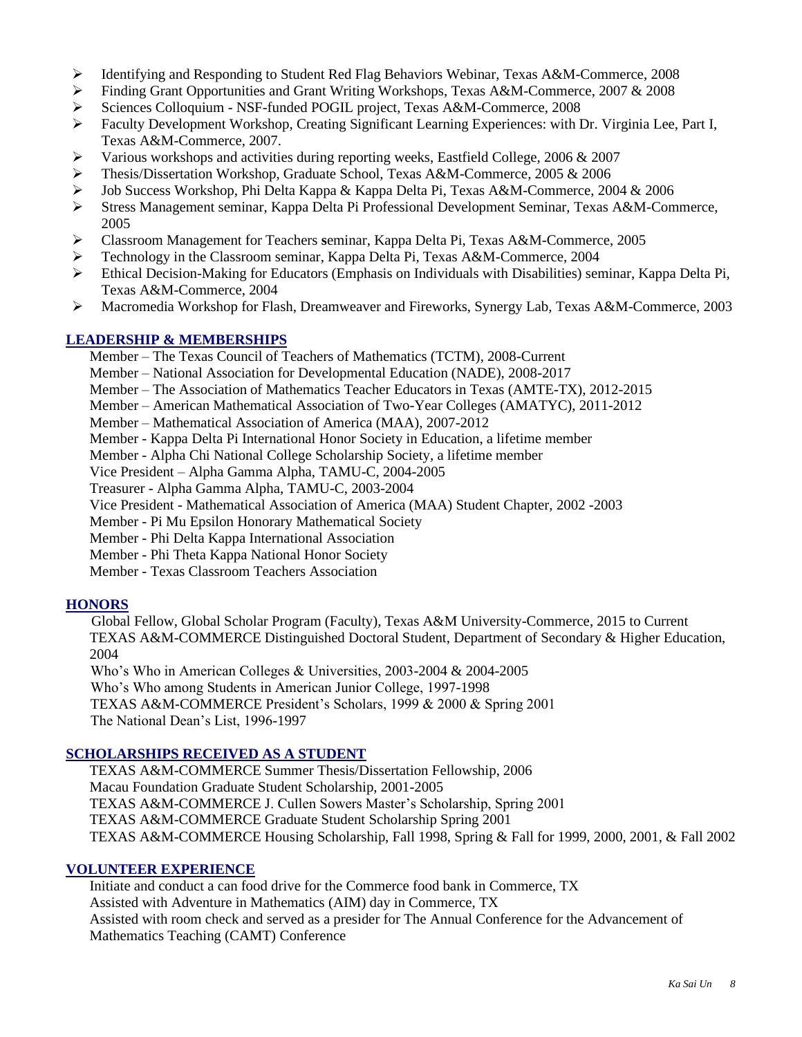- ➢ Identifying and Responding to Student Red Flag Behaviors Webinar, Texas A&M-Commerce, 2008
- ➢ Finding Grant Opportunities and Grant Writing Workshops, Texas A&M-Commerce, 2007 & 2008
- ➢ Sciences Colloquium NSF-funded POGIL project, Texas A&M-Commerce, 2008
- ➢ Faculty Development Workshop, Creating Significant Learning Experiences: with Dr. Virginia Lee, Part I, Texas A&M-Commerce, 2007.
- ➢ Various workshops and activities during reporting weeks, Eastfield College, 2006 & 2007
- ➢ Thesis/Dissertation Workshop, Graduate School, Texas A&M-Commerce, 2005 & 2006
- ➢ Job Success Workshop, Phi Delta Kappa & Kappa Delta Pi, Texas A&M-Commerce, 2004 & 2006
- ➢ Stress Management seminar, Kappa Delta Pi Professional Development Seminar, Texas A&M-Commerce, 2005
- ➢ Classroom Management for Teachers **s**eminar, Kappa Delta Pi, Texas A&M-Commerce, 2005
- ➢ Technology in the Classroom seminar, Kappa Delta Pi, Texas A&M-Commerce, 2004
- $\triangleright$  Ethical Decision-Making for Educators (Emphasis on Individuals with Disabilities) seminar, Kappa Delta Pi, Texas A&M-Commerce, 2004
- ➢ Macromedia Workshop for Flash, Dreamweaver and Fireworks, Synergy Lab, Texas A&M-Commerce, 2003

#### **LEADERSHIP & MEMBERSHIPS**

- Member The Texas Council of Teachers of Mathematics (TCTM), 2008-Current
- Member National Association for Developmental Education (NADE), 2008-2017
- Member The Association of Mathematics Teacher Educators in Texas (AMTE-TX), 2012-2015
- Member American Mathematical Association of Two-Year Colleges (AMATYC), 2011-2012
- Member Mathematical Association of America (MAA), 2007-2012
- Member Kappa Delta Pi International Honor Society in Education, a lifetime member
- Member Alpha Chi National College Scholarship Society, a lifetime member

Vice President – Alpha Gamma Alpha, TAMU-C, 2004-2005

Treasurer - Alpha Gamma Alpha, TAMU-C, 2003-2004

- Vice President Mathematical Association of America (MAA) Student Chapter, 2002 -2003
- Member Pi Mu Epsilon Honorary Mathematical Society
- Member Phi Delta Kappa International Association
- Member Phi Theta Kappa National Honor Society
- Member Texas Classroom Teachers Association

# **HONORS**

Global Fellow, Global Scholar Program (Faculty), Texas A&M University-Commerce, 2015 to Current TEXAS A&M-COMMERCE Distinguished Doctoral Student, Department of Secondary & Higher Education, 2004

Who's Who in American Colleges & Universities, 2003-2004 & 2004-2005

Who's Who among Students in American Junior College, 1997-1998

TEXAS A&M-COMMERCE President's Scholars, 1999 & 2000 & Spring 2001

The National Dean's List, 1996-1997

# **SCHOLARSHIPS RECEIVED AS A STUDENT**

TEXAS A&M-COMMERCE Summer Thesis/Dissertation Fellowship, 2006 Macau Foundation Graduate Student Scholarship, 2001-2005 TEXAS A&M-COMMERCE J. Cullen Sowers Master's Scholarship, Spring 2001 TEXAS A&M-COMMERCE Graduate Student Scholarship Spring 2001 TEXAS A&M-COMMERCE Housing Scholarship, Fall 1998, Spring & Fall for 1999, 2000, 2001, & Fall 2002

# **VOLUNTEER EXPERIENCE**

Initiate and conduct a can food drive for the Commerce food bank in Commerce, TX Assisted with Adventure in Mathematics (AIM) day in Commerce, TX Assisted with room check and served as a presider for The Annual Conference for the Advancement of Mathematics Teaching (CAMT) Conference